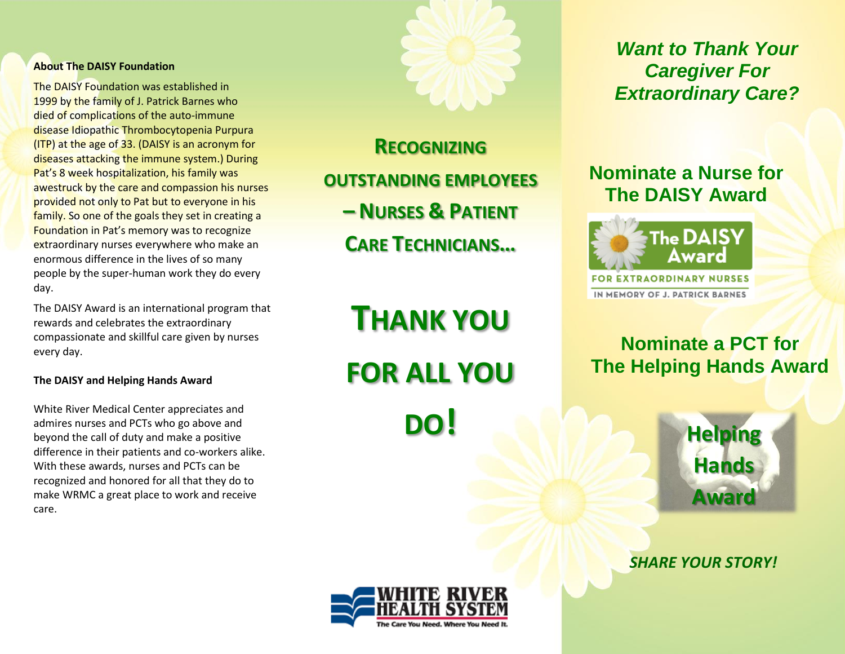### **About The DAISY Foundation**

The DAISY Foundation was established in 1999 by the family of J. Patrick Barnes who died of complications of the auto-immune disease Idiopathic Thrombocytopenia Purpura (ITP) at the age of 33. (DAISY is an acronym for diseases attacking the immune system.) During Pat's 8 week hospitalization, his family was awestruck by the care and compassion his nurses provided not only to Pat but to everyone in his family. So one of the goals they set in creating a Foundation in Pat's memory was to recognize extraordinary nurses everywhere who make an enormous difference in the lives of so many people by the super-human work they do every day.

The DAISY Award is an international program that rewards and celebrates the extraordinary compassionate and skillful care given by nurses every day.

### **The DAISY and Helping Hands Award**

White River Medical Center appreciates and admires nurses and PCTs who go above and beyond the call of duty and make a positive difference in their patients and co-workers alike. With these awards, nurses and PCTs can be recognized and honored for all that they do to make WRMC a great place to work and receive care.



**RECOGNIZING OUTSTANDING EMPLOYEES – NURSES & PATIENT CARE TECHNICIANS…**

**THANK YOU FOR ALL YOU** 

**DO!**

*Want to Thank Your Caregiver For Extraordinary Care?*

**Nominate a Nurse for The DAISY Award**



IN MEMORY OF J. PATRICK BARNES

# **Nominate a PCT for The Helping Hands Award**



*SHARE YOUR STORY!*